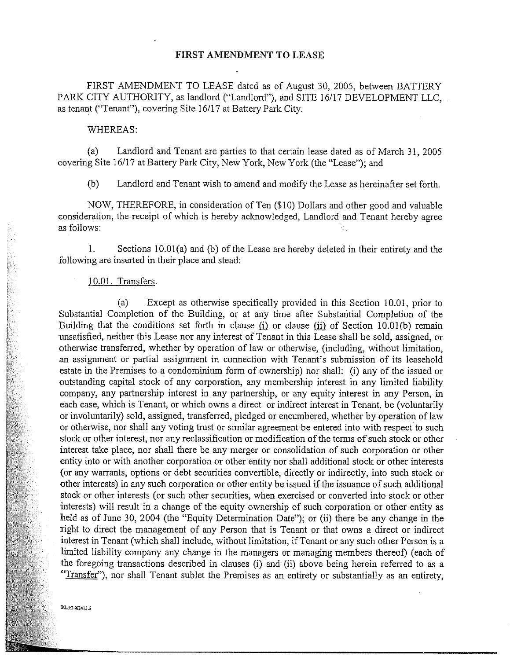## FIRST AMENDMENT TO LEASE

FIRST AMENDMENT TO LEASE dated as of August 30, 2005, between BATTERY PARK CITY AUTHORITY, as landlord ("Landlord"), and SITE 16/17 DEVELOPMENT LLC, as tenant ("Tenant"), covering Site 16/17 at Battery Park City.

## WHEREAS:

(a) Landlord and Tenant are parties to that certain lease dated as of March 31, 2005 covering Site 16/17 at Battery Park City, New York, New York (the "Lease"); and

(b) Landlord and Tenant wish to amend and modify the Lease as hereinafter set forth.

NOW, THEREFORE, in consideration of Ten (\$10) Dollars and other good and valuable consideration, the receipt of which is hereby acknowledged, Landlord and Tenant hereby agree as follows:

1. Sections 10.01(a) and (b) of the Lease are hereby deleted in their entirety and the following are inserted in their place and stead:

## 10.01. Transfers.

(a) Except as otherwise specifically provided in this Section 10.01, prior to Substantial Completion of the Building, or at any time after Substantial Completion of the Building that the conditions set forth in clause (i) or clause (ii) of Section 10.01(b) remain unsatisfted, neither this Lease nor any interest of Tenant in this Lease shall be sold, assigned, or otherwise transferred, whether by operation of law or otherwise, (including, without limitation, an assignment or partial assignment in connection with Tenant's submission of its leasehold estate in the Premises to a condominium form of ownership) nor shall: (i) any of the issued or outstanding capital stock of any corporation, any membership interest in any limited liability company, any partnership interest in any partnership, or any equity interest in any Person, in each case, which is Tenant, or which owns a direct or indirect interest in Tenant, be (voluntarily or involuntarily) sold, assigned, transferred, pledged or encumbered, whether by operation of law or otherwise, nor shall any voting trust or similar agreement be entered into with respect' to such stock or other interest, nor any reclassification or modification of the terms of such stock or other interest take place, nor shall there be any merger or consolidation of such corporation or other entity into or with another corporation or other entity nor shall additional stock or other interests (or any warrants, options or debt securities convertible, directly or indirectly, into such stock or other interests) in any such corporation or other entity be issued if the issuance of such additional stock or other interests (or such other securities, when exercised or converted into stock or other interests) will result in a change of the equity ownership of such corporation or other entity as held as of June 30, 2004 (the "Equity Determination Date"); or (ii) there be any change in the right to direct the management of any Person that is Tenant or that owns a direct or indirect interest in Tenant (which shall include, without limitation, if Tenant or any such other Person is a limited liability company any change in the managers or managing members thereof) (each of the foregoing transactions described in clauses (i) and (ii) above being herein referred to as a "'Transfer"), nor shall Tenant sublet the Premises as an entirety or substantially as an entirety,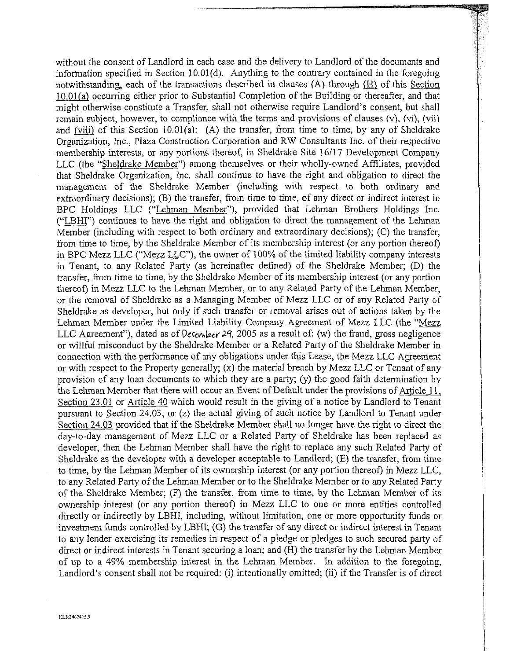without the consent of Landlord in each case and the delivery to Landlord of the documents and information specified in Section 10.01(d). Anything to the contrary contained in the foregoing notwithstanding, each of the transactions described in clauses  $(A)$  through  $(H)$  of this Section ~ occurring either prior to Substantial Completion of the Building or thereafter, and that might otherwise constitute a Transfer, shall not otherwise require Landlord's consent, but shall remain subject, however, to compliance with the terms and provisions of clauses (v). (vi), (vii) and (viii) of this Section 10.01(a): (A) the transfer, from time to time, by any of Sheldrake Organization, Inc., Plaza Construction Corporation and RW Consultants Inc. of their respective membership interests, or any portions thereof, in Sheldrake Site 16/17 Development Company LLC (the "Sheldrake Member") among themselves or their wholly-owned Affiliates, provided that Sheldrake Organization, Inc. shall continue to have the fight and obligation to direct the management of the Sheldrake Member (including with respect to both ordinary and extraordinary decisions); (B) the transfer, from time to time, of any direct or indirect interest in BPC Holdings LLC ("Lehman Member"), provided that Lehman Brothers Holdings Inc. ("LBHI") continues to have the right and obligation to direct the management of the Lehman Member (including with respect to both ordinary and extraordinary decisions); (C) the transfer, from time to time, by the Sheldrake Member of its membership interest (or any portion thereof) in BPC Mezz LLC ("Mezz LLC"), the owner of 100% of the limited liability company interests in Tenant, to any Related Party (as hereinafter defined) of the Sheldrake Member; (D) the transfer, from time to time, by the Sheldrake Member of its membership interest (or any portion thereof) in Mezz LLC to the Lehman Member, or to any Related Party of the Lehman Member, or the removal of Sheldrake as a Managing Member of Mezz LLC or of any Related Party of Sheldrake as developer, but only if such transfer or removal arises out of actions taken by the Letmaan Member under the Limited Liability Company Agreement of Mezz LLC (the "Mezz LLC Agreement"), dated as of  $\Omega$ ccenleer 29, 2005 as a result of: (w) the fraud, gross negligence or willful misconduct by the Sheldrake Member or a Related Party of the Sheldrake Member in connection with the performance of any obligations under this Lease, the Mezz LLC Agreement or with respect to the Property generally;  $(x)$  the material breach by Mezz LLC or Tenant of any provision of any loan documents to which they are a party; (y) the good faith determination by the Lehman Member that there will occur an Event of Default under the provisions of Article  $11$ . Section 23.01 or Article 40 which would result in the giving of a notice by Landlord to Tenant pursuant to Section 24.03; or  $(z)$  the actual giving of such notice by Landlord to Tenant under Section 24.03 provided that if the Sheldrake Member shall no longer have the fight to direct the day-to-day management of Mezz LLC or a Related Party of Sheldrake has been replaced as developer, then the Lehman Member shall have the fight to replace any such Related Party of Sheldrake as the developer with a developer acceptable to Landlord; (E) the transfer, from time to time, by the Lehman Member of its ownership interest (or any portion thereof) in Mezz LLC, to any Related Party of the Lehman Member or to the Sheldrake Member or to any Related Party of the Sheldrake Member; (F) the transfer, from time to time, by the Lehman Member of its ownership interest (or any portion thereof) in Mezz LLC to one or more entities controlled directly or indirectly by LBHI, including, without limitation, one or more opportunity funds or investment funds controlled by LBHI; (G) the transfer of any direct or indirect interest in Tenant to any lender exercising its remedies in respect of a pledge or pledges to such secured party of direct or indirect interests in Tenant securing a loan; and (H) the transfer by the Lehman Member of up to a 49% membership interest in the Lehman Member. In addition to the foregoing, Landlord's consent shall not be required: (i) intentionally omitted; (ii) if the Transfer is of direct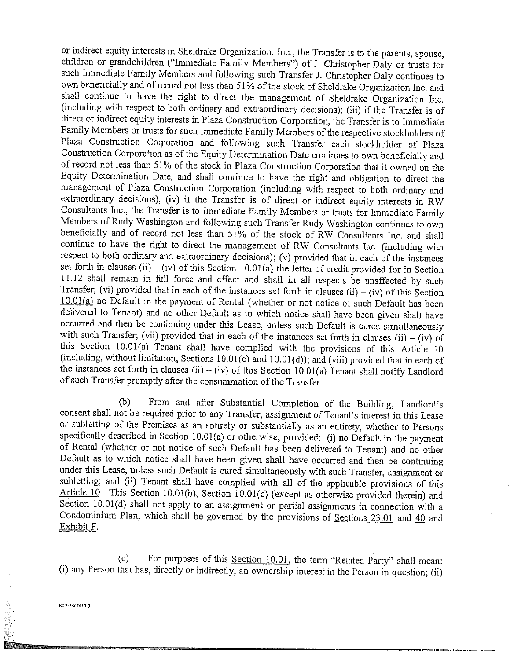or indirect equity interests in Sheldrake Organization, Inc., the Transfer is to the parents, spouse, children or grandchildren ("Immediate Family Members") of J. Christopher Daly or trusts for such Immediate Family Members and following such Transfer J. Christopher Daly continues to own beneficially and of record not less than 51% of the stock of Sheldrake Organization Inc. and shall continue to have the right to direct the management of Sheldrake Organization Inc. (including with respect to both ordinary and extraordinary decisions); (iii) if the Transfer is of direct or indirect equity interests in Plaza Construction Corporation, the Transfer is to Immediate Family Members or trusts for such Immediate Family Members of the respective stockholders of Plaza Construction Corporation and following such Transfer each stockholder of Plaza Construction Corporation as of the Equity Determination Date continues to own beneficially and of record not less than 51% of the stock in Plaza Construction Corporation that it owned on the Equity Determination Date, and shall continue to have the right and obligation to direct the management of Plaza Construction Corporation (including with respect to both ordinary and extraordinary decisions); (iv) if the Transfer is of direct or indirect equity interests in RW Consultants Inc., the Transfer is to Immediate Family Members or trusts for Immediate Family Members of Rudy Washington and following such Transfer Rudy Washington continues to own beneficially and of record not less than 51% of the stock of RW Consultants Inc. and shall continue to have the right to direct the management of RW Consultants Inc. (including with respect to both ordinary and extraordinary decisions); (v) provided that in each of the instances set forth in clauses (ii) – (iv) of this Section 10.01(a) the letter of credit provided for in Section  $11.12$  shall remain in full force and effect and shall in all respects be unaffected by such Transfer; (vi) provided that in each of the instances set forth in clauses (ii) – (iv) of this Section 10.01(a) no Default in the payment of Rental (whether or not notice of such Default has been delivered to Tenant) and no other Default as to which notice shall have been given shall have occurred and then be continuing under this Lease, unless such Default is cured simultaneously with such Transfer; (vii) provided that in each of the instances set forth in clauses (ii) - (iv) of this Section 10.0t(a) Tenant shall have complied with the provisions of this Article I0 (including, without limitation, Sections  $10.01(c)$  and  $10.01(d)$ ); and (viii) provided that in each of the instances set forth in clauses (ii)  $-$  (iv) of this Section 10.01(a) Tenant shall notify Landlord of such Transfer promptly after the consummation of the Transfer.

(b) From and after Substantial Completion of the Building, Landlord's consent shall not be required prior to any Transfer, assignment of Tenant's interest in this Lease or subletting of the Premises as an entirety or substantially as an entirety, whether to Persons specifically described in Section 10.01(a) or otherwise, provided: (i) no Default in the payment of Rental (whether or not notice of such Default has been delivered to Tenant) and no other Default as to which notice shall have been given shall have occurred and then be continuing under this Lease, unless such Default is cured simultaneously with such Transfer, assignment or subletting; and (ii) Tenant shall have complied with all of the applicable provisions of this Article 10. This Section 10.01(b), Section 10.01(c) (except as otherwise provided therein) and section 10.01(d) shall not apply to an assignment or partial assignments in connection with a Condominium Plan, which shall be governed by the provisions of Sections 23.01 and  $40$  and Exhibit F.

(c) For purposes of this  $Section 10.01$ , the term "Related Party" shall mean: (i) any Person that has, directly or indirectly, an ownership interest in the Person in question; (ii)

KL3:2462415.5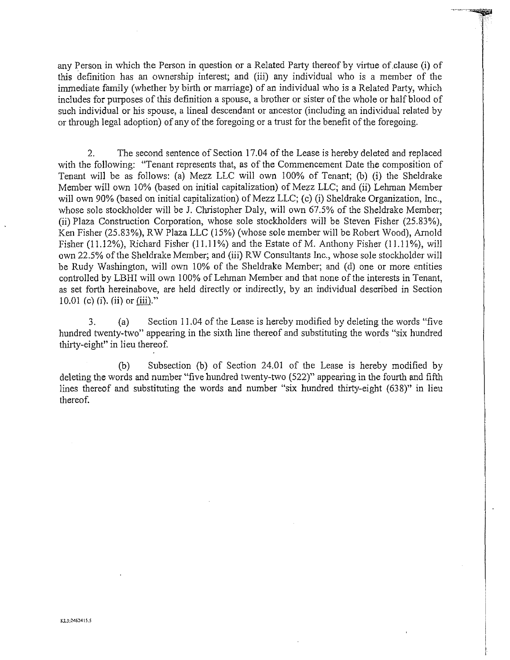any person in which the Person in question or a Related Party thereof by virtue of.clause (i) of this definition has an ownership interest; and (iii) any individual who is a member of the immediate family (whether by birth or marriage) of an individual who is a Related Party, which includes for purposes of this definition a spouse, a brother or sister of the whole or half blood of such individual or his spouse, a lineal descendant or ancestor (including an individual related by or through legal adoption) of any of the foregoing or a trust for the benefit of the foregoing.

ment av Berger

2. The second sentence of Section 17.04 of the Lease is hereby deleted and replaced with the following: "Tenant represents that, as of the Commencement Date the composition of Tenant will be as follows: (a) Mezz LLC will own 100% of Tenant; (b) (i) the Sheldrake Member will own 10% (based on initial capitalization) of Mezz LLC; and (ii) Lehman Member will own 90% (based on initial capitalization) of Mezz LLC; (c) (i) Sheldrake Organization, Inc., whose sole stockholder will be J. Christopher Daly, will own 67.5% of the Sheldrake Member; (ii) Plaza Construction Corporation, whose sole stockholders will be Steven Fisher (25.83%), Ken Fisher (25.83%), RW Plaza LLC (15%) (whose sole member will be Robert Wood), Arnold Fisher (11.12%), Richard Fisher (11.11%) and the Estate of M. Anthony Fisher (11.11%), will own 22.5% of the Sheldrake Member; and (iii) RW Consultants Inc., whose sole stockholder will be Rudy Washington, will own 10% of the Sheldrake Member; and (d) one or more entities controlled by LBHI will own 100% of Lehman Member and that none of the interests in Tenant, as set forth hereinabove, are held directly or indirectly, by an individual described in Section 10.01 (c) (i), (ii) or  $(iii)$ ."

3. (a) Section 11.04 of the Lease is hereby modified by deleting the words "five hundred twenty-two" appearing in the sixth line thereof and substituting the words "six hundred thirty-eight" in lieu thereof.

(b) Subsection (b) of Section 24.01 of the Lease is hereby modified by deleting the words and number "five hundred twenty-two (522)" appearing in the fourth and fifth lines thereof and substituting the words and number "six hundred thirty-eight (638)" in lieu thereof.